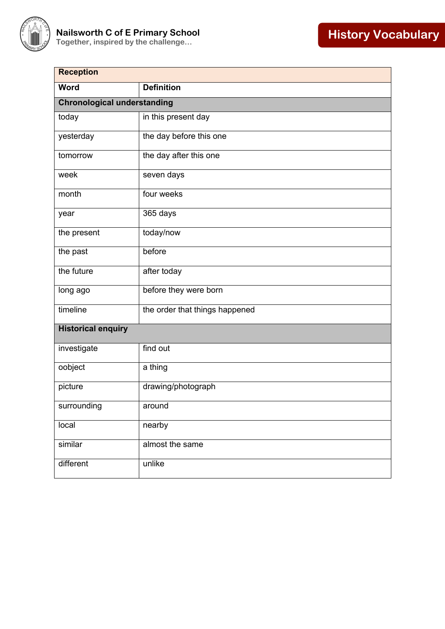

| <b>Reception</b>                   |                                |  |
|------------------------------------|--------------------------------|--|
| <b>Word</b>                        | <b>Definition</b>              |  |
| <b>Chronological understanding</b> |                                |  |
| today                              | in this present day            |  |
| yesterday                          | the day before this one        |  |
| tomorrow                           | the day after this one         |  |
| week                               | seven days                     |  |
| month                              | four weeks                     |  |
| year                               | 365 days                       |  |
| the present                        | today/now                      |  |
| the past                           | before                         |  |
| the future                         | after today                    |  |
| long ago                           | before they were born          |  |
| timeline                           | the order that things happened |  |
| <b>Historical enquiry</b>          |                                |  |
| investigate                        | find out                       |  |
| oobject                            | a thing                        |  |
| picture                            | drawing/photograph             |  |
| surrounding                        | around                         |  |
| local                              | nearby                         |  |
| similar                            | almost the same                |  |
| different                          | unlike                         |  |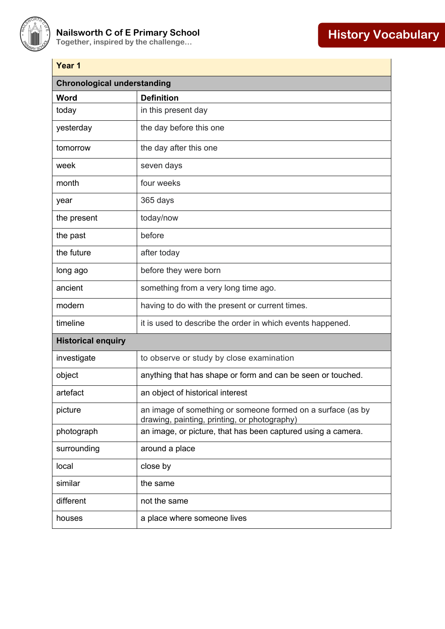

| Year 1                             |                                                                                                             |  |
|------------------------------------|-------------------------------------------------------------------------------------------------------------|--|
| <b>Chronological understanding</b> |                                                                                                             |  |
| Word                               | <b>Definition</b>                                                                                           |  |
| today                              | in this present day                                                                                         |  |
| yesterday                          | the day before this one                                                                                     |  |
| tomorrow                           | the day after this one                                                                                      |  |
| week                               | seven days                                                                                                  |  |
| month                              | four weeks                                                                                                  |  |
| year                               | 365 days                                                                                                    |  |
| the present                        | today/now                                                                                                   |  |
| the past                           | before                                                                                                      |  |
| the future                         | after today                                                                                                 |  |
| long ago                           | before they were born                                                                                       |  |
| ancient                            | something from a very long time ago.                                                                        |  |
| modern                             | having to do with the present or current times.                                                             |  |
| timeline                           | it is used to describe the order in which events happened.                                                  |  |
| <b>Historical enquiry</b>          |                                                                                                             |  |
| investigate                        | to observe or study by close examination                                                                    |  |
| object                             | anything that has shape or form and can be seen or touched.                                                 |  |
| artefact                           | an object of historical interest                                                                            |  |
| picture                            | an image of something or someone formed on a surface (as by<br>drawing, painting, printing, or photography) |  |
| photograph                         | an image, or picture, that has been captured using a camera.                                                |  |
| surrounding                        | around a place                                                                                              |  |
| local                              | close by                                                                                                    |  |
| similar                            | the same                                                                                                    |  |
| different                          | not the same                                                                                                |  |
| houses                             | a place where someone lives                                                                                 |  |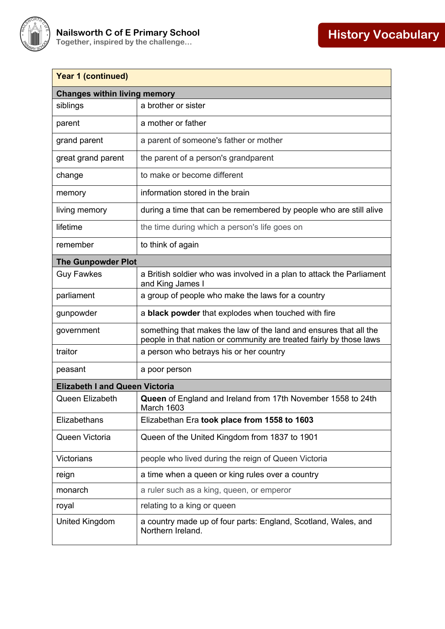

| <b>Year 1 (continued)</b>             |                                                                                                                                          |  |
|---------------------------------------|------------------------------------------------------------------------------------------------------------------------------------------|--|
| <b>Changes within living memory</b>   |                                                                                                                                          |  |
| siblings                              | a brother or sister                                                                                                                      |  |
| parent                                | a mother or father                                                                                                                       |  |
| grand parent                          | a parent of someone's father or mother                                                                                                   |  |
| great grand parent                    | the parent of a person's grandparent                                                                                                     |  |
| change                                | to make or become different                                                                                                              |  |
| memory                                | information stored in the brain                                                                                                          |  |
| living memory                         | during a time that can be remembered by people who are still alive                                                                       |  |
| lifetime                              | the time during which a person's life goes on                                                                                            |  |
| remember                              | to think of again                                                                                                                        |  |
| <b>The Gunpowder Plot</b>             |                                                                                                                                          |  |
| <b>Guy Fawkes</b>                     | a British soldier who was involved in a plan to attack the Parliament<br>and King James I                                                |  |
| parliament                            | a group of people who make the laws for a country                                                                                        |  |
| gunpowder                             | a black powder that explodes when touched with fire                                                                                      |  |
| government                            | something that makes the law of the land and ensures that all the<br>people in that nation or community are treated fairly by those laws |  |
| traitor                               | a person who betrays his or her country                                                                                                  |  |
| peasant                               | a poor person                                                                                                                            |  |
| <b>Elizabeth I and Queen Victoria</b> |                                                                                                                                          |  |
| Queen Elizabeth                       | Queen of England and Ireland from 17th November 1558 to 24th<br>March 1603                                                               |  |
| Elizabethans                          | Elizabethan Era took place from 1558 to 1603                                                                                             |  |
| Queen Victoria                        | Queen of the United Kingdom from 1837 to 1901                                                                                            |  |
| Victorians                            | people who lived during the reign of Queen Victoria                                                                                      |  |
| reign                                 | a time when a queen or king rules over a country                                                                                         |  |
| monarch                               | a ruler such as a king, queen, or emperor                                                                                                |  |
| royal                                 | relating to a king or queen                                                                                                              |  |
| United Kingdom                        | a country made up of four parts: England, Scotland, Wales, and<br>Northern Ireland.                                                      |  |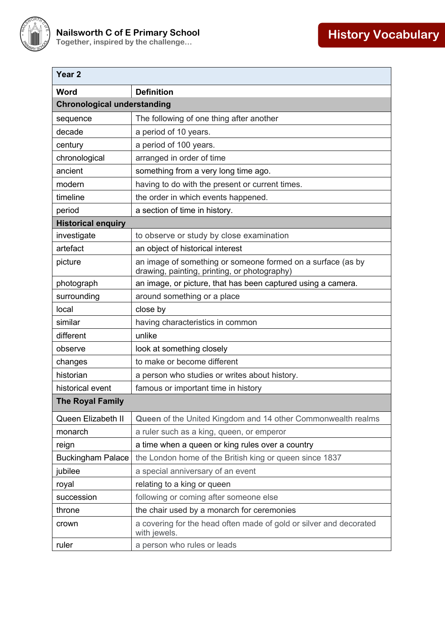

| Year <sub>2</sub>                  |                                                                                                             |  |
|------------------------------------|-------------------------------------------------------------------------------------------------------------|--|
| Word                               | <b>Definition</b>                                                                                           |  |
| <b>Chronological understanding</b> |                                                                                                             |  |
| sequence                           | The following of one thing after another                                                                    |  |
| decade                             | a period of 10 years.                                                                                       |  |
| century                            | a period of 100 years.                                                                                      |  |
| chronological                      | arranged in order of time                                                                                   |  |
| ancient                            | something from a very long time ago.                                                                        |  |
| modern                             | having to do with the present or current times.                                                             |  |
| timeline                           | the order in which events happened.                                                                         |  |
| period                             | a section of time in history.                                                                               |  |
| <b>Historical enquiry</b>          |                                                                                                             |  |
| investigate                        | to observe or study by close examination                                                                    |  |
| artefact                           | an object of historical interest                                                                            |  |
| picture                            | an image of something or someone formed on a surface (as by<br>drawing, painting, printing, or photography) |  |
| photograph                         | an image, or picture, that has been captured using a camera.                                                |  |
| surrounding                        | around something or a place                                                                                 |  |
| local                              | close by                                                                                                    |  |
| similar                            | having characteristics in common                                                                            |  |
| different                          | unlike                                                                                                      |  |
| observe                            | look at something closely                                                                                   |  |
| changes                            | to make or become different                                                                                 |  |
| historian                          | a person who studies or writes about history.                                                               |  |
| historical event                   | famous or important time in history                                                                         |  |
| <b>The Royal Family</b>            |                                                                                                             |  |
| Queen Elizabeth II                 | Queen of the United Kingdom and 14 other Commonwealth realms                                                |  |
| monarch                            | a ruler such as a king, queen, or emperor                                                                   |  |
| reign                              | a time when a queen or king rules over a country                                                            |  |
| <b>Buckingham Palace</b>           | the London home of the British king or queen since 1837                                                     |  |
| jubilee                            | a special anniversary of an event                                                                           |  |
| royal                              | relating to a king or queen                                                                                 |  |
| succession                         | following or coming after someone else                                                                      |  |
| throne                             | the chair used by a monarch for ceremonies                                                                  |  |
| crown                              | a covering for the head often made of gold or silver and decorated<br>with jewels.                          |  |
| ruler                              | a person who rules or leads                                                                                 |  |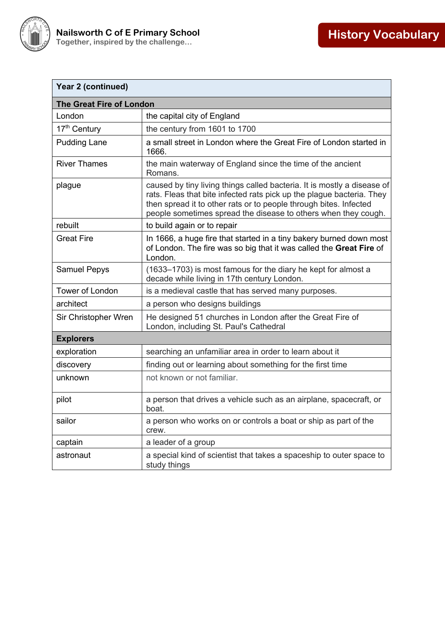

| Year 2 (continued)              |                                                                                                                                                                                                                                                                                         |
|---------------------------------|-----------------------------------------------------------------------------------------------------------------------------------------------------------------------------------------------------------------------------------------------------------------------------------------|
| <b>The Great Fire of London</b> |                                                                                                                                                                                                                                                                                         |
| London                          | the capital city of England                                                                                                                                                                                                                                                             |
| 17 <sup>th</sup> Century        | the century from 1601 to 1700                                                                                                                                                                                                                                                           |
| <b>Pudding Lane</b>             | a small street in London where the Great Fire of London started in<br>1666.                                                                                                                                                                                                             |
| <b>River Thames</b>             | the main waterway of England since the time of the ancient<br>Romans.                                                                                                                                                                                                                   |
| plague                          | caused by tiny living things called bacteria. It is mostly a disease of<br>rats. Fleas that bite infected rats pick up the plague bacteria. They<br>then spread it to other rats or to people through bites. Infected<br>people sometimes spread the disease to others when they cough. |
| rebuilt                         | to build again or to repair                                                                                                                                                                                                                                                             |
| <b>Great Fire</b>               | In 1666, a huge fire that started in a tiny bakery burned down most<br>of London. The fire was so big that it was called the Great Fire of<br>London.                                                                                                                                   |
| <b>Samuel Pepys</b>             | (1633–1703) is most famous for the diary he kept for almost a<br>decade while living in 17th century London.                                                                                                                                                                            |
| Tower of London                 | is a medieval castle that has served many purposes.                                                                                                                                                                                                                                     |
| architect                       | a person who designs buildings                                                                                                                                                                                                                                                          |
| Sir Christopher Wren            | He designed 51 churches in London after the Great Fire of<br>London, including St. Paul's Cathedral                                                                                                                                                                                     |
| <b>Explorers</b>                |                                                                                                                                                                                                                                                                                         |
| exploration                     | searching an unfamiliar area in order to learn about it                                                                                                                                                                                                                                 |
| discovery                       | finding out or learning about something for the first time                                                                                                                                                                                                                              |
| unknown                         | not known or not familiar.                                                                                                                                                                                                                                                              |
| pilot                           | a person that drives a vehicle such as an airplane, spacecraft, or<br>boat.                                                                                                                                                                                                             |
| sailor                          | a person who works on or controls a boat or ship as part of the<br>crew.                                                                                                                                                                                                                |
| captain                         | a leader of a group                                                                                                                                                                                                                                                                     |
| astronaut                       | a special kind of scientist that takes a spaceship to outer space to<br>study things                                                                                                                                                                                                    |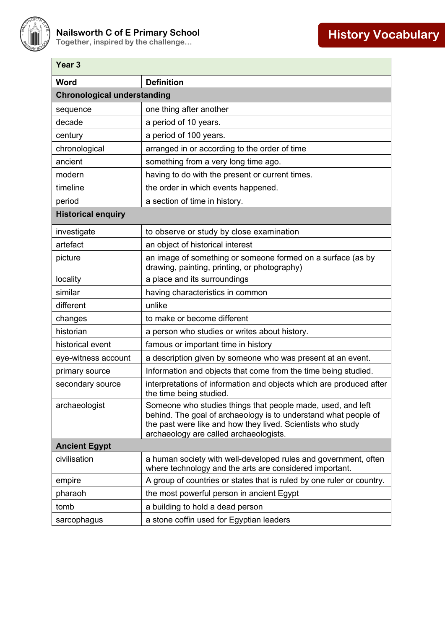

| Year <sub>3</sub>                  |                                                                                                                                                                                                                                         |  |
|------------------------------------|-----------------------------------------------------------------------------------------------------------------------------------------------------------------------------------------------------------------------------------------|--|
| Word                               | <b>Definition</b>                                                                                                                                                                                                                       |  |
| <b>Chronological understanding</b> |                                                                                                                                                                                                                                         |  |
| sequence                           | one thing after another                                                                                                                                                                                                                 |  |
| decade                             | a period of 10 years.                                                                                                                                                                                                                   |  |
| century                            | a period of 100 years.                                                                                                                                                                                                                  |  |
| chronological                      | arranged in or according to the order of time                                                                                                                                                                                           |  |
| ancient                            | something from a very long time ago.                                                                                                                                                                                                    |  |
| modern                             | having to do with the present or current times.                                                                                                                                                                                         |  |
| timeline                           | the order in which events happened.                                                                                                                                                                                                     |  |
| period                             | a section of time in history.                                                                                                                                                                                                           |  |
| <b>Historical enquiry</b>          |                                                                                                                                                                                                                                         |  |
| investigate                        | to observe or study by close examination                                                                                                                                                                                                |  |
| artefact                           | an object of historical interest                                                                                                                                                                                                        |  |
| picture                            | an image of something or someone formed on a surface (as by<br>drawing, painting, printing, or photography)                                                                                                                             |  |
| locality                           | a place and its surroundings                                                                                                                                                                                                            |  |
| similar                            | having characteristics in common                                                                                                                                                                                                        |  |
| different                          | unlike                                                                                                                                                                                                                                  |  |
| changes                            | to make or become different                                                                                                                                                                                                             |  |
| historian                          | a person who studies or writes about history.                                                                                                                                                                                           |  |
| historical event                   | famous or important time in history                                                                                                                                                                                                     |  |
| eye-witness account                | a description given by someone who was present at an event.                                                                                                                                                                             |  |
| primary source                     | Information and objects that come from the time being studied.                                                                                                                                                                          |  |
| secondary source                   | interpretations of information and objects which are produced after<br>the time being studied.                                                                                                                                          |  |
| archaeologist                      | Someone who studies things that people made, used, and left<br>behind. The goal of archaeology is to understand what people of<br>the past were like and how they lived. Scientists who study<br>archaeology are called archaeologists. |  |
| <b>Ancient Egypt</b>               |                                                                                                                                                                                                                                         |  |
| civilisation                       | a human society with well-developed rules and government, often<br>where technology and the arts are considered important.                                                                                                              |  |
| empire                             | A group of countries or states that is ruled by one ruler or country.                                                                                                                                                                   |  |
| pharaoh                            | the most powerful person in ancient Egypt                                                                                                                                                                                               |  |
| tomb                               | a building to hold a dead person                                                                                                                                                                                                        |  |
| sarcophagus                        | a stone coffin used for Egyptian leaders                                                                                                                                                                                                |  |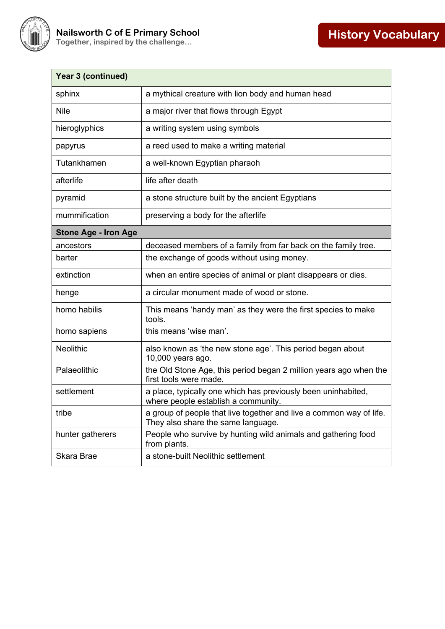

| <b>Year 3 (continued)</b>   |                                                                                                           |
|-----------------------------|-----------------------------------------------------------------------------------------------------------|
| sphinx                      | a mythical creature with lion body and human head                                                         |
| <b>Nile</b>                 | a major river that flows through Egypt                                                                    |
| hieroglyphics               | a writing system using symbols                                                                            |
| papyrus                     | a reed used to make a writing material                                                                    |
| Tutankhamen                 | a well-known Egyptian pharaoh                                                                             |
| afterlife                   | life after death                                                                                          |
| pyramid                     | a stone structure built by the ancient Egyptians                                                          |
| mummification               | preserving a body for the afterlife                                                                       |
| <b>Stone Age - Iron Age</b> |                                                                                                           |
| ancestors                   | deceased members of a family from far back on the family tree.                                            |
| barter                      | the exchange of goods without using money.                                                                |
| extinction                  | when an entire species of animal or plant disappears or dies.                                             |
| henge                       | a circular monument made of wood or stone.                                                                |
| homo habilis                | This means 'handy man' as they were the first species to make<br>tools.                                   |
| homo sapiens                | this means 'wise man'.                                                                                    |
| <b>Neolithic</b>            | also known as 'the new stone age'. This period began about<br>10,000 years ago.                           |
| Palaeolithic                | the Old Stone Age, this period began 2 million years ago when the<br>first tools were made.               |
| settlement                  | a place, typically one which has previously been uninhabited,<br>where people establish a community.      |
| tribe                       | a group of people that live together and live a common way of life.<br>They also share the same language. |
| hunter gatherers            | People who survive by hunting wild animals and gathering food<br>from plants.                             |
| Skara Brae                  | a stone-built Neolithic settlement                                                                        |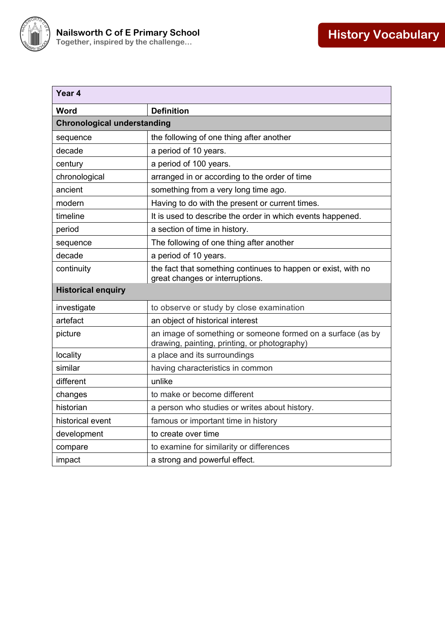

| Year 4                             |                                                                                                             |  |
|------------------------------------|-------------------------------------------------------------------------------------------------------------|--|
| Word                               | <b>Definition</b>                                                                                           |  |
| <b>Chronological understanding</b> |                                                                                                             |  |
| sequence                           | the following of one thing after another                                                                    |  |
| decade                             | a period of 10 years.                                                                                       |  |
| century                            | a period of 100 years.                                                                                      |  |
| chronological                      | arranged in or according to the order of time                                                               |  |
| ancient                            | something from a very long time ago.                                                                        |  |
| modern                             | Having to do with the present or current times.                                                             |  |
| timeline                           | It is used to describe the order in which events happened.                                                  |  |
| period                             | a section of time in history.                                                                               |  |
| sequence                           | The following of one thing after another                                                                    |  |
| decade                             | a period of 10 years.                                                                                       |  |
| continuity                         | the fact that something continues to happen or exist, with no<br>great changes or interruptions.            |  |
| <b>Historical enquiry</b>          |                                                                                                             |  |
| investigate                        | to observe or study by close examination                                                                    |  |
| artefact                           | an object of historical interest                                                                            |  |
| picture                            | an image of something or someone formed on a surface (as by<br>drawing, painting, printing, or photography) |  |
| locality                           | a place and its surroundings                                                                                |  |
| similar                            | having characteristics in common                                                                            |  |
| different                          | unlike                                                                                                      |  |
| changes                            | to make or become different                                                                                 |  |
| historian                          | a person who studies or writes about history.                                                               |  |
| historical event                   | famous or important time in history                                                                         |  |
| development                        | to create over time                                                                                         |  |
| compare                            | to examine for similarity or differences                                                                    |  |
| impact                             | a strong and powerful effect.                                                                               |  |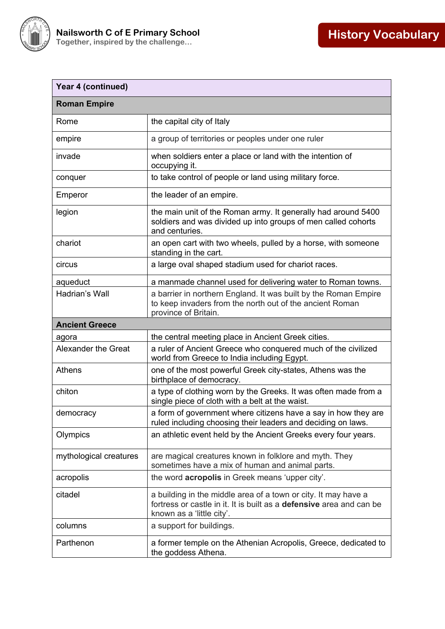

| Year 4 (continued)         |                                                                                                                                                                     |
|----------------------------|---------------------------------------------------------------------------------------------------------------------------------------------------------------------|
| <b>Roman Empire</b>        |                                                                                                                                                                     |
| Rome                       | the capital city of Italy                                                                                                                                           |
| empire                     | a group of territories or peoples under one ruler                                                                                                                   |
| invade                     | when soldiers enter a place or land with the intention of<br>occupying it.                                                                                          |
| conquer                    | to take control of people or land using military force.                                                                                                             |
| Emperor                    | the leader of an empire.                                                                                                                                            |
| legion                     | the main unit of the Roman army. It generally had around 5400<br>soldiers and was divided up into groups of men called cohorts<br>and centuries.                    |
| chariot                    | an open cart with two wheels, pulled by a horse, with someone<br>standing in the cart.                                                                              |
| circus                     | a large oval shaped stadium used for chariot races.                                                                                                                 |
| aqueduct                   | a manmade channel used for delivering water to Roman towns.                                                                                                         |
| Hadrian's Wall             | a barrier in northern England. It was built by the Roman Empire<br>to keep invaders from the north out of the ancient Roman<br>province of Britain.                 |
| <b>Ancient Greece</b>      |                                                                                                                                                                     |
| agora                      | the central meeting place in Ancient Greek cities.                                                                                                                  |
| <b>Alexander the Great</b> | a ruler of Ancient Greece who conquered much of the civilized<br>world from Greece to India including Egypt.                                                        |
| Athens                     | one of the most powerful Greek city-states, Athens was the<br>birthplace of democracy.                                                                              |
| chiton                     | a type of clothing worn by the Greeks. It was often made from a<br>single piece of cloth with a belt at the waist.                                                  |
| democracy                  | a form of government where citizens have a say in how they are<br>ruled including choosing their leaders and deciding on laws.                                      |
| Olympics                   | an athletic event held by the Ancient Greeks every four years.                                                                                                      |
| mythological creatures     | are magical creatures known in folklore and myth. They<br>sometimes have a mix of human and animal parts.                                                           |
| acropolis                  | the word <b>acropolis</b> in Greek means 'upper city'.                                                                                                              |
| citadel                    | a building in the middle area of a town or city. It may have a<br>fortress or castle in it. It is built as a defensive area and can be<br>known as a 'little city'. |
| columns                    | a support for buildings.                                                                                                                                            |
| Parthenon                  | a former temple on the Athenian Acropolis, Greece, dedicated to<br>the goddess Athena.                                                                              |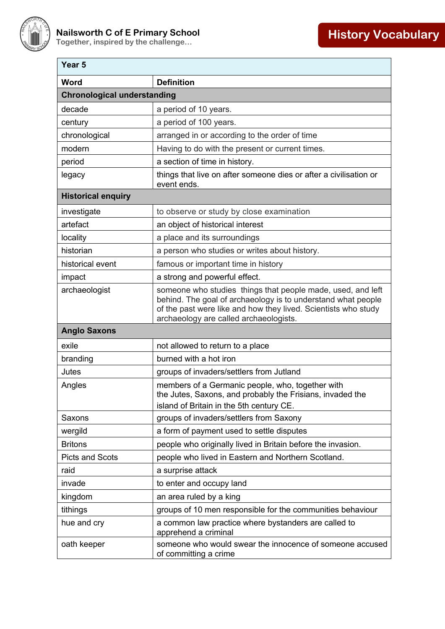

| Year <sub>5</sub>                  |                                                                                                                                                                                                                                         |
|------------------------------------|-----------------------------------------------------------------------------------------------------------------------------------------------------------------------------------------------------------------------------------------|
| <b>Word</b>                        | <b>Definition</b>                                                                                                                                                                                                                       |
| <b>Chronological understanding</b> |                                                                                                                                                                                                                                         |
| decade                             | a period of 10 years.                                                                                                                                                                                                                   |
| century                            | a period of 100 years.                                                                                                                                                                                                                  |
| chronological                      | arranged in or according to the order of time                                                                                                                                                                                           |
| modern                             | Having to do with the present or current times.                                                                                                                                                                                         |
| period                             | a section of time in history.                                                                                                                                                                                                           |
| legacy                             | things that live on after someone dies or after a civilisation or<br>event ends.                                                                                                                                                        |
| <b>Historical enquiry</b>          |                                                                                                                                                                                                                                         |
| investigate                        | to observe or study by close examination                                                                                                                                                                                                |
| artefact                           | an object of historical interest                                                                                                                                                                                                        |
| locality                           | a place and its surroundings                                                                                                                                                                                                            |
| historian                          | a person who studies or writes about history.                                                                                                                                                                                           |
| historical event                   | famous or important time in history                                                                                                                                                                                                     |
| impact                             | a strong and powerful effect.                                                                                                                                                                                                           |
| archaeologist                      | someone who studies things that people made, used, and left<br>behind. The goal of archaeology is to understand what people<br>of the past were like and how they lived. Scientists who study<br>archaeology are called archaeologists. |
| <b>Anglo Saxons</b>                |                                                                                                                                                                                                                                         |
| exile                              | not allowed to return to a place                                                                                                                                                                                                        |
| branding                           | burned with a hot iron                                                                                                                                                                                                                  |
| Jutes                              | groups of invaders/settlers from Jutland                                                                                                                                                                                                |
| Angles                             | members of a Germanic people, who, together with<br>the Jutes, Saxons, and probably the Frisians, invaded the<br>island of Britain in the 5th century CE.                                                                               |
| Saxons                             | groups of invaders/settlers from Saxony                                                                                                                                                                                                 |
| wergild                            | a form of payment used to settle disputes                                                                                                                                                                                               |
| <b>Britons</b>                     | people who originally lived in Britain before the invasion.                                                                                                                                                                             |
| <b>Picts and Scots</b>             | people who lived in Eastern and Northern Scotland.                                                                                                                                                                                      |
| raid                               | a surprise attack                                                                                                                                                                                                                       |
| invade                             | to enter and occupy land                                                                                                                                                                                                                |
| kingdom                            | an area ruled by a king                                                                                                                                                                                                                 |
| tithings                           | groups of 10 men responsible for the communities behaviour                                                                                                                                                                              |
| hue and cry                        | a common law practice where bystanders are called to<br>apprehend a criminal                                                                                                                                                            |
| oath keeper                        | someone who would swear the innocence of someone accused<br>of committing a crime                                                                                                                                                       |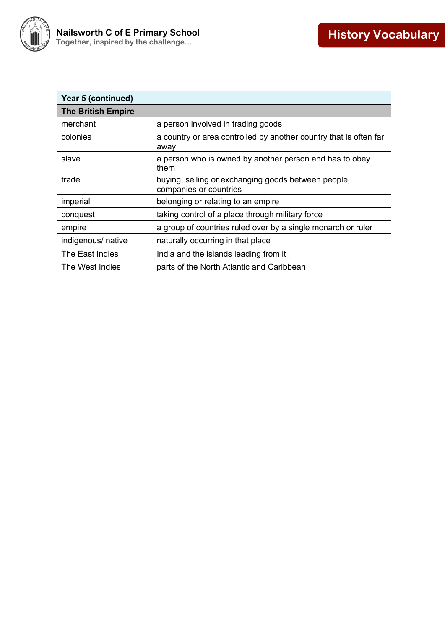

| <b>Year 5 (continued)</b> |                                                                               |
|---------------------------|-------------------------------------------------------------------------------|
| <b>The British Empire</b> |                                                                               |
| merchant                  | a person involved in trading goods                                            |
| colonies                  | a country or area controlled by another country that is often far<br>away     |
| slave                     | a person who is owned by another person and has to obey<br>them               |
| trade                     | buying, selling or exchanging goods between people,<br>companies or countries |
| imperial                  | belonging or relating to an empire                                            |
| conquest                  | taking control of a place through military force                              |
| empire                    | a group of countries ruled over by a single monarch or ruler                  |
| indigenous/ native        | naturally occurring in that place                                             |
| The East Indies           | India and the islands leading from it                                         |
| The West Indies           | parts of the North Atlantic and Caribbean                                     |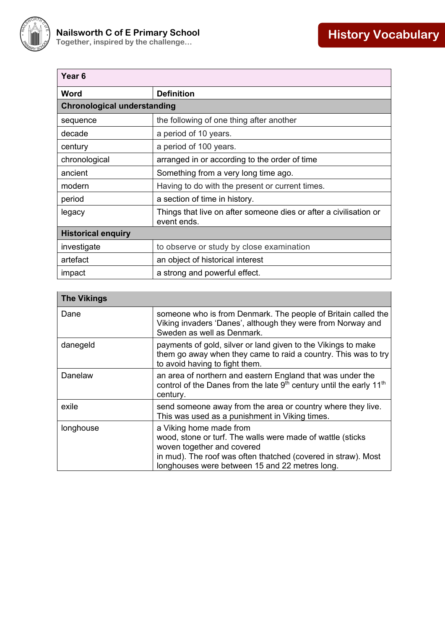

| Year <sub>6</sub>                  |                                                                                  |
|------------------------------------|----------------------------------------------------------------------------------|
| Word                               | <b>Definition</b>                                                                |
| <b>Chronological understanding</b> |                                                                                  |
| sequence                           | the following of one thing after another                                         |
| decade                             | a period of 10 years.                                                            |
| century                            | a period of 100 years.                                                           |
| chronological                      | arranged in or according to the order of time                                    |
| ancient                            | Something from a very long time ago.                                             |
| modern                             | Having to do with the present or current times.                                  |
| period                             | a section of time in history.                                                    |
| legacy                             | Things that live on after someone dies or after a civilisation or<br>event ends. |
| <b>Historical enquiry</b>          |                                                                                  |
| investigate                        | to observe or study by close examination                                         |
| artefact                           | an object of historical interest                                                 |
| impact                             | a strong and powerful effect.                                                    |

| <b>The Vikings</b> |                                                                                                                                                                                                                                        |
|--------------------|----------------------------------------------------------------------------------------------------------------------------------------------------------------------------------------------------------------------------------------|
| Dane               | someone who is from Denmark. The people of Britain called the<br>Viking invaders 'Danes', although they were from Norway and<br>Sweden as well as Denmark.                                                                             |
| danegeld           | payments of gold, silver or land given to the Vikings to make<br>them go away when they came to raid a country. This was to try<br>to avoid having to fight them.                                                                      |
| Danelaw            | an area of northern and eastern England that was under the<br>control of the Danes from the late 9 <sup>th</sup> century until the early 11 <sup>th</sup><br>century.                                                                  |
| exile              | send someone away from the area or country where they live.<br>This was used as a punishment in Viking times.                                                                                                                          |
| longhouse          | a Viking home made from<br>wood, stone or turf. The walls were made of wattle (sticks<br>woven together and covered<br>in mud). The roof was often thatched (covered in straw). Most<br>longhouses were between 15 and 22 metres long. |